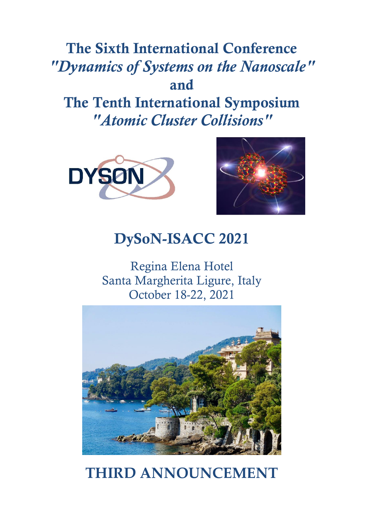## **The Sixth International Conference** *"Dynamics of Systems on the Nanoscale"* **and The Tenth International Symposium**  *"Atomic Cluster Collisions"*





## **DySoN-ISACC 2021**

Regina Elena Hotel Santa Margherita Ligure, Italy October 18-22, 2021



# **THIRD ANNOUNCEMENT**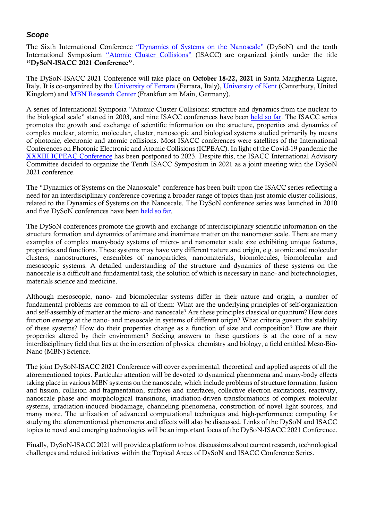#### *Scope*

The Sixth International Conference "[Dynamics of Systems on the Nan](https://dyson-conference.org/)oscale" (DySoN) and the tenth International Symposium ["Atomic Cluster Collisions"](http://www.isacc-portal.org/) (ISACC) are organized jointly under the title **"DySoN-ISACC 2021 Conference"**.

The DySoN-ISACC 2021 Conference will take place on **October 18-22, 2021** in Santa Margherita Ligure, Italy. It is co-organized by the [University of Ferrara](http://www.unife.it/international) (Ferrara, Italy), [University of Kent](https://www.kent.ac.uk/) (Canterbury, United Kingdom) and [MBN Research Center](http://mbnresearch.com/) (Frankfurt am Main, Germany).

A series of International Symposia "Atomic Cluster Collisions: structure and dynamics from the nuclear to the biological scale" started in 2003, and nine ISACC conferences have been [held so far.](http://www.isacc-portal.org/node/1) The ISACC series promotes the growth and exchange of scientific information on the structure, properties and dynamics of complex nuclear, atomic, molecular, cluster, nanoscopic and biological systems studied primarily by means of photonic, electronic and atomic collisions. Most ISACC conferences were satellites of the International Conferences on Photonic Electronic and Atomic Collisions (ICPEAC). In light of the Covid-19 pandemic the [XXXIII ICPEAC Conference](https://icpeac2023.ca/) has been postponed to 2023. Despite this, the ISACC International Advisory Committee decided to organize the Tenth ISACC Symposium in 2021 as a joint meeting with the DySoN 2021 conference.

The "Dynamics of Systems on the Nanoscale" conference has been built upon the ISACC series reflecting a need for an interdisciplinary conference covering a broader range of topics than just atomic cluster collisions, related to the Dynamics of Systems on the Nanoscale. The DySoN conference series was launched in 2010 and five DySoN conferences have been [held so far.](https://dyson-conference.org/node/16)

The DySoN conferences promote the growth and exchange of interdisciplinary scientific information on the structure formation and dynamics of animate and inanimate matter on the nanometer scale. There are many examples of complex many-body systems of micro- and nanometer scale size exhibiting unique features, properties and functions. These systems may have very different nature and origin, e.g. atomic and molecular clusters, nanostructures, ensembles of nanoparticles, nanomaterials, biomolecules, biomolecular and mesoscopic systems. A detailed understanding of the structure and dynamics of these systems on the nanoscale is a difficult and fundamental task, the solution of which is necessary in nano- and biotechnologies, materials science and medicine.

Although mesoscopic, nano- and biomolecular systems differ in their nature and origin, a number of fundamental problems are common to all of them: What are the underlying principles of self-organization and self-assembly of matter at the micro- and nanoscale? Are these principles classical or quantum? How does function emerge at the nano- and mesoscale in systems of different origin? What criteria govern the stability of these systems? How do their properties change as a function of size and composition? How are their properties altered by their environment? Seeking answers to these questions is at the core of a new interdisciplinary field that lies at the intersection of physics, chemistry and biology, a field entitled Meso-Bio-Nano (MBN) Science.

The joint DySoN-ISACC 2021 Conference will cover experimental, theoretical and applied aspects of all the aforementioned topics. Particular attention will be devoted to dynamical phenomena and many-body effects taking place in various MBN systems on the nanoscale, which include problems of structure formation, fusion and fission, collision and fragmentation, surfaces and interfaces, collective electron excitations, reactivity, nanoscale phase and morphological transitions, irradiation-driven transformations of complex molecular systems, irradiation-induced biodamage, channeling phenomena, construction of novel light sources, and many more. The utilization of advanced computational techniques and high-performance computing for studying the aforementioned phenomena and effects will also be discussed. Links of the DySoN and ISACC topics to novel and emerging technologies will be an important focus of the DySoN-ISACC 2021 Conference.

Finally, DySoN-ISACC 2021 will provide a platform to host discussions about current research, technological challenges and related initiatives within the Topical Areas of DySoN and ISACC Conference Series.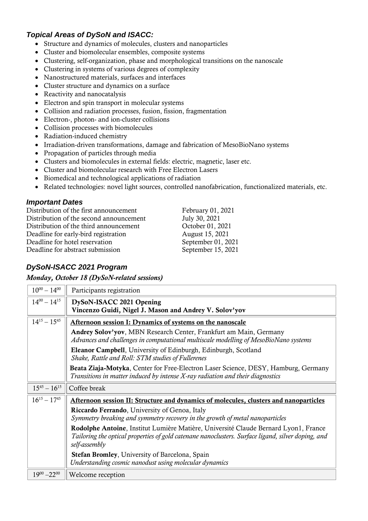## *Topical Areas of DySoN and ISACC:*

- Structure and dynamics of molecules, clusters and nanoparticles
- Cluster and biomolecular ensembles, composite systems
- Clustering, self-organization, phase and morphological transitions on the nanoscale
- Clustering in systems of various degrees of complexity
- Nanostructured materials, surfaces and interfaces
- Cluster structure and dynamics on a surface
- Reactivity and nanocatalysis
- Electron and spin transport in molecular systems
- Collision and radiation processes, fusion, fission, fragmentation
- Electron-, photon- and ion-cluster collisions
- Collision processes with biomolecules
- Radiation-induced chemistry
- Irradiation-driven transformations, damage and fabrication of MesoBioNano systems
- Propagation of particles through media
- Clusters and biomolecules in external fields: electric, magnetic, laser etc.
- Cluster and biomolecular research with Free Electron Lasers
- Biomedical and technological applications of radiation
- Related technologies: novel light sources, controlled nanofabrication, functionalized materials, etc.

#### *Important Dates*

Distribution of the first announcement February 01, 2021 Distribution of the second announcement July 30, 2021 Distribution of the third announcement  $October 01, 2021$ Deadline for early-bird registration August 15, 2021 Deadline for hotel reservation September 01, 2021 Deadline for abstract submission September 15, 2021

## *DySoN-ISACC 2021 Program*

*Monday, October 18 (DySoN-related sessions)*

| $10^{00} - 14^{00}$ | Participants registration                                                                                                                                                                                  |  |  |
|---------------------|------------------------------------------------------------------------------------------------------------------------------------------------------------------------------------------------------------|--|--|
| $14^{00} - 14^{15}$ | DySoN-ISACC 2021 Opening<br>Vincenzo Guidi, Nigel J. Mason and Andrey V. Solov'yov                                                                                                                         |  |  |
| $14^{15} - 15^{45}$ | Afternoon session I: Dynamics of systems on the nanoscale                                                                                                                                                  |  |  |
|                     | Andrey Solov'yov, MBN Research Center, Frankfurt am Main, Germany<br>Advances and challenges in computational multiscale modelling of MesoBioNano systems                                                  |  |  |
|                     | <b>Eleanor Campbell</b> , University of Edinburgh, Edinburgh, Scotland<br>Shake, Rattle and Roll: STM studies of Fullerenes                                                                                |  |  |
|                     | Beata Ziaja-Motyka, Center for Free-Electron Laser Science, DESY, Hamburg, Germany<br>Transitions in matter induced by intense X-ray radiation and their diagnostics                                       |  |  |
|                     |                                                                                                                                                                                                            |  |  |
| $15^{45} - 16^{15}$ | Coffee break                                                                                                                                                                                               |  |  |
| $16^{15} - 17^{45}$ | Afternoon session II: Structure and dynamics of molecules, clusters and nanoparticles                                                                                                                      |  |  |
|                     | Riccardo Ferrando, University of Genoa, Italy<br>Symmetry breaking and symmetry recovery in the growth of metal nanoparticles                                                                              |  |  |
|                     | Rodolphe Antoine, Institut Lumière Matière, Université Claude Bernard Lyon1, France<br>Tailoring the optical properties of gold catenane nanoclusters. Surface ligand, silver doping, and<br>self-assembly |  |  |
|                     | <b>Stefan Bromley, University of Barcelona, Spain</b><br>Understanding cosmic nanodust using molecular dynamics                                                                                            |  |  |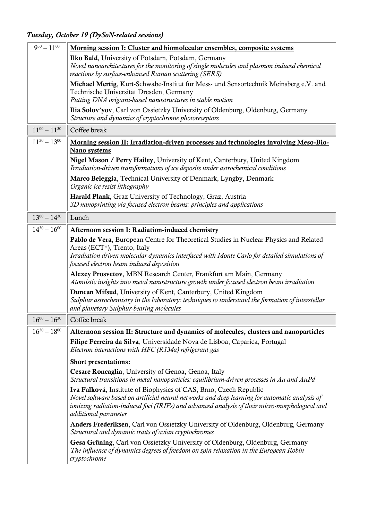*Tuesday, October 19 (DySoN-related sessions)*

| $9^{30} - 11^{00}$  | Morning session I: Cluster and biomolecular ensembles, composite systems                                                                                                                                                                                                                      |  |  |
|---------------------|-----------------------------------------------------------------------------------------------------------------------------------------------------------------------------------------------------------------------------------------------------------------------------------------------|--|--|
|                     | Ilko Bald, University of Potsdam, Potsdam, Germany<br>Novel nanoarchitectures for the monitoring of single molecules and plasmon induced chemical<br>reactions by surface-enhanced Raman scattering (SERS)                                                                                    |  |  |
|                     | Michael Mertig, Kurt-Schwabe-Institut für Mess- und Sensortechnik Meinsberg e.V. and<br>Technische Universität Dresden, Germany<br>Putting DNA origami-based nanostructures in stable motion                                                                                                  |  |  |
|                     | <b>Ilia Solov'yov</b> , Carl von Ossietzky University of Oldenburg, Oldenburg, Germany<br>Structure and dynamics of cryptochrome photoreceptors                                                                                                                                               |  |  |
| $11^{00} - 11^{30}$ | Coffee break                                                                                                                                                                                                                                                                                  |  |  |
| $11^{30} - 13^{00}$ | Morning session II: Irradiation-driven processes and technologies involving Meso-Bio-                                                                                                                                                                                                         |  |  |
|                     | Nano systems                                                                                                                                                                                                                                                                                  |  |  |
|                     | Nigel Mason / Perry Hailey, University of Kent, Canterbury, United Kingdom<br>Irradiation-driven transformations of ice deposits under astrochemical conditions                                                                                                                               |  |  |
|                     | Marco Beleggia, Technical University of Denmark, Lyngby, Denmark<br>Organic ice resist lithography                                                                                                                                                                                            |  |  |
|                     | Harald Plank, Graz University of Technology, Graz, Austria<br>3D nanoprinting via focused electron beams: principles and applications                                                                                                                                                         |  |  |
| $13^{00} - 14^{30}$ | Lunch                                                                                                                                                                                                                                                                                         |  |  |
| $14^{30} - 16^{00}$ | <b>Afternoon session I: Radiation-induced chemistry</b>                                                                                                                                                                                                                                       |  |  |
|                     | Pablo de Vera, European Centre for Theoretical Studies in Nuclear Physics and Related<br>Areas (ECT*), Trento, Italy<br>Irradiation driven molecular dynamics interfaced with Monte Carlo for detailed simulations of<br>focused electron beam induced deposition                             |  |  |
|                     | Alexey Prosvetov, MBN Research Center, Frankfurt am Main, Germany<br>Atomistic insights into metal nanostructure growth under focused electron beam irradiation                                                                                                                               |  |  |
|                     | Duncan Mifsud, University of Kent, Canterbury, United Kingdom<br>Sulphur astrochemistry in the laboratory: techniques to understand the formation of interstellar<br>and planetary Sulphur-bearing molecules                                                                                  |  |  |
| $16^{00} - 16^{30}$ | Coffee break                                                                                                                                                                                                                                                                                  |  |  |
| $16^{30} - 18^{00}$ | Afternoon session II: Structure and dynamics of molecules, clusters and nanoparticles                                                                                                                                                                                                         |  |  |
|                     | Filipe Ferreira da Silva, Universidade Nova de Lisboa, Caparica, Portugal<br>Electron interactions with HFC (R134a) refrigerant gas                                                                                                                                                           |  |  |
|                     | <b>Short presentations:</b>                                                                                                                                                                                                                                                                   |  |  |
|                     | Cesare Roncaglia, University of Genoa, Genoa, Italy<br>Structural transitions in metal nanoparticles: equilibrium-driven processes in Au and AuPd                                                                                                                                             |  |  |
|                     | Iva Falková, Institute of Biophysics of CAS, Brno, Czech Republic<br>Novel software based on artificial neural networks and deep learning for automatic analysis of<br>ionizing radiation-induced foci (IRIFs) and advanced analysis of their micro-morphological and<br>additional parameter |  |  |
|                     | Anders Frederiksen, Carl von Ossietzky University of Oldenburg, Oldenburg, Germany<br>Structural and dynamic traits of avian cryptochromes                                                                                                                                                    |  |  |
|                     | Gesa Grüning, Carl von Ossietzky University of Oldenburg, Oldenburg, Germany<br>The influence of dynamics degrees of freedom on spin relaxation in the European Robin<br>cryptochrome                                                                                                         |  |  |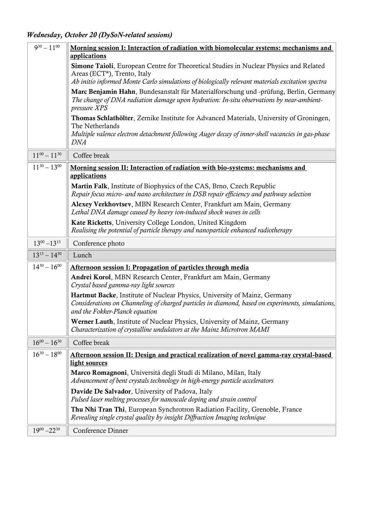*Wednesday, October 20 (DySoN-related sessions)*

| $9^{30} - 11^{00}$  | <u>Morning session I: Interaction of radiation with biomolecular systems: mechanisms and</u><br>applications                                                                                                                     |
|---------------------|----------------------------------------------------------------------------------------------------------------------------------------------------------------------------------------------------------------------------------|
|                     | <b>Simone Taioli</b> , European Centre for Theoretical Studies in Nuclear Physics and Related<br>Areas (ECT*), Trento, Italy<br>Ab initio informed Monte Carlo simulations of biologically relevant materials excitation spectra |
|                     | Marc Benjamin Hahn, Bundesanstalt für Materialforschung und -prüfung, Berlin, Germany<br>The change of DNA radiation damage upon hydration: In-situ observations by near-ambient-<br>pressure XPS                                |
|                     | Thomas Schlathölter, Zernike Institute for Advanced Materials, University of Groningen,<br>The Netherlands<br>Multiple valence electron detachment following Auger decay of inner-shell vacancies in gas-phase<br><i>DNA</i>     |
| $11^{00} - 11^{30}$ | Coffee break                                                                                                                                                                                                                     |
| $11^{30} - 13^{00}$ | Morning session II: Interaction of radiation with bio-systems: mechanisms and<br>applications                                                                                                                                    |
|                     | Martin Falk, Institute of Biophysics of the CAS, Brno, Czech Republic<br>Repair focus micro- and nano architecture in DSB repair efficiency and pathway selection                                                                |
|                     | Alexey Verkhovtsev, MBN Research Center, Frankfurt am Main, Germany<br>Lethal DNA damage caused by heavy ion-induced shock waves in cells                                                                                        |
|                     | Kate Ricketts, University College London, United Kingdom<br>Realising the potential of particle therapy and nanoparticle enhanced radiotherapy                                                                                   |
| $13^{00} - 13^{15}$ | Conference photo                                                                                                                                                                                                                 |
| $13^{15} - 14^{30}$ | Lunch                                                                                                                                                                                                                            |
| $14^{30} - 16^{00}$ | Afternoon session I: Propagation of particles through media                                                                                                                                                                      |
|                     | Andrei Korol, MBN Research Center, Frankfurt am Main, Germany<br>Crystal based gamma-ray light sources                                                                                                                           |
|                     | Hartmut Backe, Institute of Nuclear Physics, University of Mainz, Germany<br>Considerations on Channeling of charged particles in diamond, based on experiments, simulations,<br>and the Fokker-Planck equation                  |
|                     | Werner Lauth, Institute of Nuclear Physics, University of Mainz, Germany<br>Characterization of crystalline undulators at the Mainz Microtron MAMI                                                                               |
| $16^{00} - 16^{30}$ | Coffee break                                                                                                                                                                                                                     |
| $16^{30} - 18^{00}$ | Afternoon session II: Design and practical realization of novel gamma-ray crystal-based<br>light sources                                                                                                                         |
|                     | Marco Romagnoni, Università degli Studi di Milano, Milan, Italy<br>Advancement of bent crystals technology in high-energy particle accelerators                                                                                  |
|                     | Davide De Salvador, University of Padova, Italy<br>Pulsed laser melting processes for nanoscale doping and strain control                                                                                                        |
|                     | Thu Nhi Tran Thi, European Synchrotron Radiation Facility, Grenoble, France<br>Revealing single crystal quality by insight Diffraction Imaging technique                                                                         |
|                     |                                                                                                                                                                                                                                  |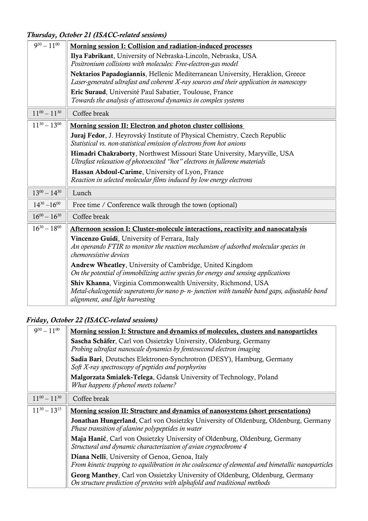*Thursday, October 21 (ISACC-related sessions)*

| $9^{30} - 11^{00}$  | Morning session I: Collision and radiation-induced processes                                                                                                             |  |  |
|---------------------|--------------------------------------------------------------------------------------------------------------------------------------------------------------------------|--|--|
|                     | Ilya Fabrikant, University of Nebraska-Lincoln, Nebraska, USA                                                                                                            |  |  |
|                     | Positronium collisions with molecules: Free-electron-gas model                                                                                                           |  |  |
|                     | Nektarios Papadogiannis, Hellenic Mediterranean University, Heraklion, Greece<br>Laser-generated ultrafast and coherent X-ray sources and their application in nanoscopy |  |  |
|                     | Eric Suraud, Université Paul Sabatier, Toulouse, France                                                                                                                  |  |  |
|                     | Towards the analysis of attosecond dynamics in complex systems                                                                                                           |  |  |
| $11^{00} - 11^{30}$ | Coffee break                                                                                                                                                             |  |  |
| $11^{30} - 13^{00}$ | Morning session II: Electron and photon cluster collisions                                                                                                               |  |  |
|                     | Juraj Fedor, J. Heyrovský Institute of Physical Chemistry, Czech Republic                                                                                                |  |  |
|                     | Statistical vs. non-statistical emission of electrons from hot anions                                                                                                    |  |  |
|                     | Himadri Chakraborty, Northwest Missouri State University, Maryville, USA                                                                                                 |  |  |
|                     | Ultrafast relaxation of photoexcited "hot" electrons in fullerene materials                                                                                              |  |  |
|                     | Hassan Abdoul-Carime, University of Lyon, France                                                                                                                         |  |  |
|                     | Reaction in selected molecular films induced by low energy electrons                                                                                                     |  |  |
| $13^{00} - 14^{30}$ | Lunch                                                                                                                                                                    |  |  |
| $14^{30} - 16^{00}$ | Free time / Conference walk through the town (optional)                                                                                                                  |  |  |
| $16^{00} - 16^{30}$ | Coffee break                                                                                                                                                             |  |  |
| $16^{30} - 18^{00}$ | Afternoon session I: Cluster-molecule interactions, reactivity and nanocatalysis                                                                                         |  |  |
|                     | Vincenzo Guidi, University of Ferrara, Italy                                                                                                                             |  |  |
|                     | An operando FTIR to monitor the reaction mechanism of adsorbed molecular species in                                                                                      |  |  |
|                     | chemoresistive devices                                                                                                                                                   |  |  |
|                     | Andrew Wheatley, University of Cambridge, United Kingdom<br>On the potential of immobilizing active species for energy and sensing applications                          |  |  |
|                     | Shiv Khanna, Virginia Commonwealth University, Richmond, USA                                                                                                             |  |  |
|                     | Metal-chalcogenide superatoms for nano p- n- junction with tunable band gaps, adjustable band<br>alignment, and light harvesting                                         |  |  |

## *Friday, October 22 (ISACC-related sessions)*

| $9^{30} - 11^{00}$  | <u>Morning session I: Structure and dynamics of molecules, clusters and nanoparticles</u>                                                             |  |  |
|---------------------|-------------------------------------------------------------------------------------------------------------------------------------------------------|--|--|
|                     | Sascha Schäfer, Carl von Ossietzky University, Oldenburg, Germany<br>Probing ultrafast nanoscale dynamics by femtosecond electron imaging             |  |  |
|                     | Sadia Bari, Deutsches Elektronen-Synchrotron (DESY), Hamburg, Germany<br>Soft X-ray spectroscopy of peptides and porphyrins                           |  |  |
|                     | Malgorzata Smialek-Telega, Gdansk University of Technology, Poland<br>What happens if phenol meets toluene?                                           |  |  |
| $11^{00} - 11^{30}$ | Coffee break                                                                                                                                          |  |  |
| $11^{30} - 13^{15}$ | <u>Morning session II: Structure and dynamics of nanosystems (short presentations)</u>                                                                |  |  |
|                     | Jonathan Hungerland, Carl von Ossietzky University of Oldenburg, Oldenburg, Germany<br>Phase transition of alanine polypeptides in water              |  |  |
|                     | Maja Hanić, Carl von Ossietzky University of Oldenburg, Oldenburg, Germany<br>Structural and dynamic characterization of avian cryptochrome 4         |  |  |
|                     | Diana Nelli, University of Genoa, Genoa, Italy<br>From kinetic trapping to equilibration in the coalescence of elemental and bimetallic nanoparticles |  |  |
|                     | Georg Manthey, Carl von Ossietzky University of Oldenburg, Oldenburg, Germany                                                                         |  |  |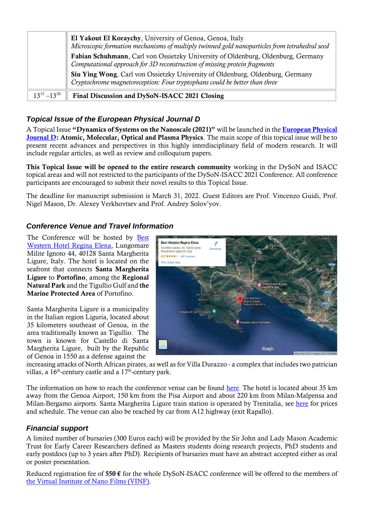|                     | El Yakout El Koraychy, University of Genoa, Genoa, Italy<br>Microscopic formation mechanisms of multiply twinned gold nanoparticles from tetrahedral seed<br>Fabian Schuhmann, Carl von Ossietzky University of Oldenburg, Oldenburg, Germany<br>Computational approach for 3D reconstruction of missing protein fragments |
|---------------------|----------------------------------------------------------------------------------------------------------------------------------------------------------------------------------------------------------------------------------------------------------------------------------------------------------------------------|
|                     | Siu Ying Wong, Carl von Ossietzky University of Oldenburg, Oldenburg, Germany<br>Cryptochrome magnetoreception: Four tryptophans could be better than three                                                                                                                                                                |
| $13^{15} - 13^{30}$ | Final Discussion and DySoN-ISACC 2021 Closing                                                                                                                                                                                                                                                                              |

#### *Topical Issue of the European Physical Journal D*

A Topical Issue **"Dynamics of Systems on the Nanoscale (2021)"** will be launched in the **[European Physical](https://epjd.epj.org/)  [Journal D:](https://epjd.epj.org/) Atomic, Molecular, Optical and Plasma Physics**. The main scope of this topical issue will be to present recent advances and perspectives in this highly interdisciplinary field of modern research. It will include regular articles, as well as review and colloquium papers.

**This Topical Issue will be opened to the entire research community** working in the DySoN and ISACC topical areas and will not restricted to the participants of the DySoN-ISACC 2021 Conference. All conference participants are encouraged to submit their novel results to this Topical Issue.

The deadline for manuscript submission is March 31, 2022. Guest Editors are Prof. Vincenzo Guidi, Prof. Nigel Mason, Dr. Alexey Verkhovtsev and Prof. Andrey Solov'yov.

#### *Conference Venue and Travel Information*

The Conference will be hosted by [Best](https://www.reginaelena.it/en/home-page.aspx)  [Western Hotel Regina Elena,](https://www.reginaelena.it/en/home-page.aspx) Lungomare Milite Ignoto 44, 40128 Santa Margherita Ligure, Italy. The hotel is located on the seafront that connects **Santa Margherita Ligure** to **Portofino**, among the **Regional Natural Park** and the Tigullio Gulf and **the Marine Protected Area** of Portofino.

Santa Margherita Ligure is a municipality in the Italian region Liguria, located about 35 kilometers southeast of Genoa, in the area traditionally known as Tigullio. The town is known for Castello di Santa Margherita Ligure, built by the Republic of Genoa in 1550 as a defense against the



increasing attacks of North African pirates, as well as for Villa Durazzo - a complex that includes two patrician villas, a  $16<sup>th</sup>$ -century castle and a  $17<sup>th</sup>$ -century park.

The information on how to reach the conference venue can be found [here.](https://www.reginaelena.it/en/map-directions.aspx) The hotel is located about 35 km away from the Genoa Airport, 150 km from the Pisa Airport and about 220 km from Milan-Malpensa and Milan-Bergamo airports. Santa Margherita Ligure train station is operated by Trenitalia, see [here](https://www.trenitalia.com/en.html) for prices and schedule. The venue can also be reached by car from A12 highway (exit Rapallo).

#### *Financial support*

A limited number of bursaries (300 Euros each) will be provided by the Sir John and Lady Mason Academic Trust for Early Career Researchers defined as Masters students doing research projects, PhD students and early postdocs (up to 3 years after PhD). Recipients of bursaries must have an abstract accepted either as oral or poster presentation.

Reduced registration fee of **550 €** for the whole DySoN-ISACC conference will be offered to the members of [the Virtual Institute of Nano Films \(VINF\).](http://www.vinf.eu/)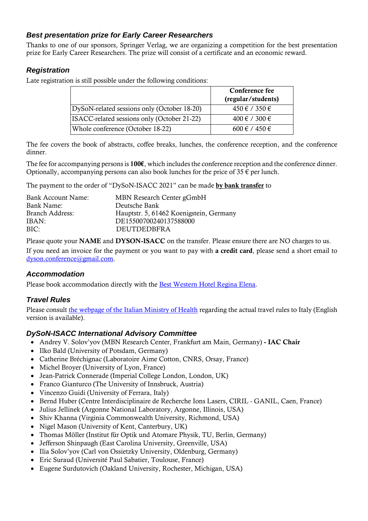## *Best presentation prize for Early Career Researchers*

Thanks to one of our sponsors, Springer Verlag, we are organizing a competition for the best presentation prize for Early Career Researchers. The prize will consist of a certificate and an economic reward.

## *Registration*

Late registration is still possible under the following conditions:

|                                             | Conference fee<br>(regular/students) |
|---------------------------------------------|--------------------------------------|
| DySoN-related sessions only (October 18-20) | $450 \notin / 350 \in$               |
| ISACC-related sessions only (October 21-22) | $400 \notin 7300 \in$                |
| Whole conference (October 18-22)            | $600 \notin 7450 \in$                |

The fee covers the book of abstracts, coffee breaks, lunches, the conference reception, and the conference dinner.

The fee for accompanying persons is **100€**, which includes the conference reception and the conference dinner. Optionally, accompanying persons can also book lunches for the price of 35  $\epsilon$  per lunch.

The payment to the order of "DySoN-ISACC 2021" can be made **by bank transfer** to

| Bank Account Name:     | MBN Research Center gGmbH               |
|------------------------|-----------------------------------------|
| Bank Name:             | Deutsche Bank                           |
| <b>Branch Address:</b> | Hauptstr. 5, 61462 Koenigstein, Germany |
| IBAN:                  | DE15500700240137588000                  |
| BIC:                   | <b>DEUTDEDBFRA</b>                      |

Please quote your **NAME** and **DYSON-ISACC** on the transfer. Please ensure there are NO charges to us.

If you need an invoice for the payment or you want to pay with **a credit card**, please send a short email to [dyson.conference@gmail.com.](mailto:dyson.conference@gmail.com)

## *Accommodation*

Please book accommodation directly with the [Best Western Hotel Regina Elena.](https://www.reginaelena.it/en/home-page.aspx)

## *Travel Rules*

Please consult [the webpage of the Italian Ministry of Health](https://www.salute.gov.it/portale/nuovocoronavirus/dettaglioContenutiNuovoCoronavirus.jsp?lingua=english&id=5412&area=nuovoCoronavirus&menu=vuoto) regarding the actual travel rules to Italy (English version is available).

## *DySoN-ISACC International Advisory Committee*

- Andrey V. Solov'yov (MBN Research Center, Frankfurt am Main, Germany) **- IAC Chair**
- Ilko Bald (University of Potsdam, Germany)
- Catherine Bréchignac (Laboratoire Aime Cotton, CNRS, Orsay, France)
- Michel Broyer (University of Lyon, France)
- Jean-Patrick Connerade (Imperial College London, London, UK)
- Franco Gianturco (The University of Innsbruck, Austria)
- Vincenzo Guidi (University of Ferrara, Italy)
- Bernd Huber (Centre Interdisciplinaire de Recherche Ions Lasers, CIRIL GANIL, Caen, France)
- Julius Jellinek (Argonne National Laboratory, Argonne, Illinois, USA)
- Shiv Khanna (Virginia Commonwealth University, Richmond, USA)
- Nigel Mason (University of Kent, Canterbury, UK)
- Thomas Möller (Institut für Optik und Atomare Physik, TU, Berlin, Germany)
- Jefferson Shinpaugh (East Carolina University, Greenville, USA)
- Ilia Solov'yov (Carl von Ossietzky University, Oldenburg, Germany)
- Eric Suraud (Université Paul Sabatier, Toulouse, France)
- Eugene Surdutovich (Oakland University, Rochester, Michigan, USA)